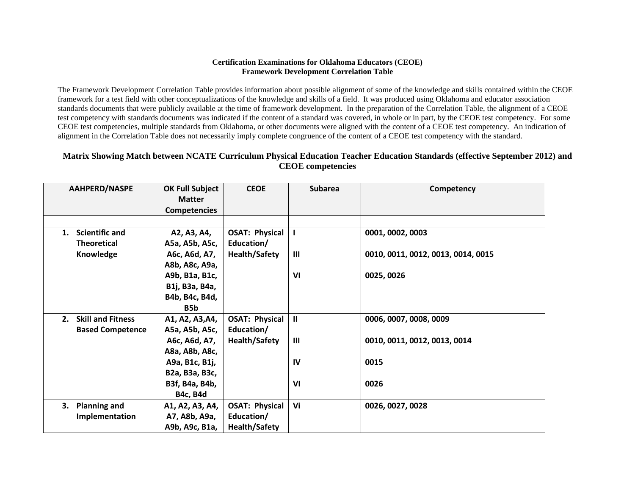#### **Certification Examinations for Oklahoma Educators (CEOE) Framework Development Correlation Table**

The Framework Development Correlation Table provides information about possible alignment of some of the knowledge and skills contained within the CEOE framework for a test field with other conceptualizations of the knowledge and skills of a field. It was produced using Oklahoma and educator association standards documents that were publicly available at the time of framework development. In the preparation of the Correlation Table, the alignment of a CEOE test competency with standards documents was indicated if the content of a standard was covered, in whole or in part, by the CEOE test competency. For some CEOE test competencies, multiple standards from Oklahoma, or other documents were aligned with the content of a CEOE test competency. An indication of alignment in the Correlation Table does not necessarily imply complete congruence of the content of a CEOE test competency with the standard.

### **Matrix Showing Match between NCATE Curriculum Physical Education Teacher Education Standards (effective September 2012) and CEOE competencies**

| <b>AAHPERD/NASPE</b>           | <b>OK Full Subject</b> | <b>CEOE</b>           | <b>Subarea</b> | Competency                         |
|--------------------------------|------------------------|-----------------------|----------------|------------------------------------|
|                                | <b>Matter</b>          |                       |                |                                    |
|                                | <b>Competencies</b>    |                       |                |                                    |
|                                |                        |                       |                |                                    |
| <b>Scientific and</b><br>1.    | A2, A3, A4,            | <b>OSAT: Physical</b> | $\mathbf{I}$   | 0001, 0002, 0003                   |
| <b>Theoretical</b>             | A5a, A5b, A5c,         | Education/            |                |                                    |
| Knowledge                      | A6c, A6d, A7,          | <b>Health/Safety</b>  | Ш              | 0010, 0011, 0012, 0013, 0014, 0015 |
|                                | A8b, A8c, A9a,         |                       |                |                                    |
|                                | A9b, B1a, B1c,         |                       | VI             | 0025, 0026                         |
|                                | B1j, B3a, B4a,         |                       |                |                                    |
|                                | B4b, B4c, B4d,         |                       |                |                                    |
|                                | B5b                    |                       |                |                                    |
| <b>Skill and Fitness</b><br>2. | A1, A2, A3, A4,        | <b>OSAT: Physical</b> | $\mathbf{II}$  | 0006, 0007, 0008, 0009             |
| <b>Based Competence</b>        | A5a, A5b, A5c,         | Education/            |                |                                    |
|                                | A6c, A6d, A7,          | <b>Health/Safety</b>  | Ш              | 0010, 0011, 0012, 0013, 0014       |
|                                | A8a, A8b, A8c,         |                       |                |                                    |
|                                | A9a, B1c, B1j,         |                       | IV             | 0015                               |
|                                | B2a, B3a, B3c,         |                       |                |                                    |
|                                | B3f, B4a, B4b,         |                       | V <sub>l</sub> | 0026                               |
|                                | <b>B4c, B4d</b>        |                       |                |                                    |
| <b>Planning and</b><br>3.      | A1, A2, A3, A4,        | <b>OSAT: Physical</b> | Vi             | 0026, 0027, 0028                   |
| Implementation                 | A7, A8b, A9a,          | Education/            |                |                                    |
|                                | A9b, A9c, B1a,         | <b>Health/Safety</b>  |                |                                    |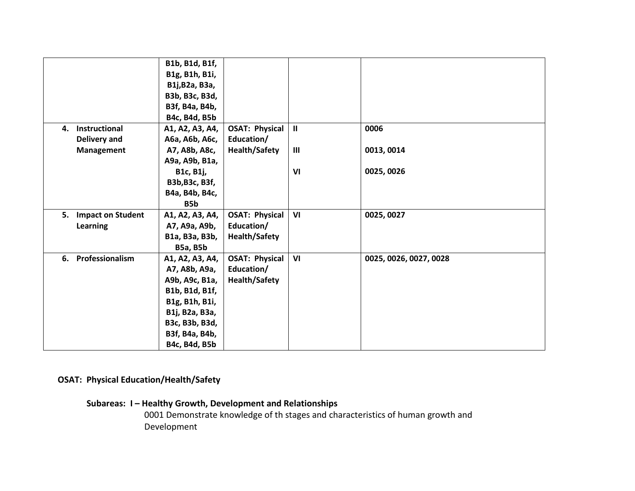|    |                      | B1b, B1d, B1f,  |                       |                |                        |
|----|----------------------|-----------------|-----------------------|----------------|------------------------|
|    |                      | B1g, B1h, B1i,  |                       |                |                        |
|    |                      | B1j, B2a, B3a,  |                       |                |                        |
|    |                      | B3b, B3c, B3d,  |                       |                |                        |
|    |                      | B3f, B4a, B4b,  |                       |                |                        |
|    |                      | B4c, B4d, B5b   |                       |                |                        |
| 4. | Instructional        | A1, A2, A3, A4, | <b>OSAT: Physical</b> | $\mathbf{H}$   | 0006                   |
|    | Delivery and         | A6a, A6b, A6c,  | Education/            |                |                        |
|    | Management           | A7, A8b, A8c,   | <b>Health/Safety</b>  | $\mathbf{III}$ | 0013, 0014             |
|    |                      | A9a, A9b, B1a,  |                       |                |                        |
|    |                      | B1c, B1j,       |                       | VI             | 0025, 0026             |
|    |                      | B3b, B3c, B3f,  |                       |                |                        |
|    |                      | B4a, B4b, B4c,  |                       |                |                        |
|    |                      | B5b             |                       |                |                        |
|    | 5. Impact on Student | A1, A2, A3, A4, | <b>OSAT: Physical</b> | VI             | 0025, 0027             |
|    | Learning             | A7, A9a, A9b,   | Education/            |                |                        |
|    |                      | B1a, B3a, B3b,  | <b>Health/Safety</b>  |                |                        |
|    |                      | <b>B5a, B5b</b> |                       |                |                        |
| 6. | Professionalism      | A1, A2, A3, A4, | <b>OSAT: Physical</b> | VI             | 0025, 0026, 0027, 0028 |
|    |                      | A7, A8b, A9a,   | Education/            |                |                        |
|    |                      | A9b, A9c, B1a,  | <b>Health/Safety</b>  |                |                        |
|    |                      | B1b, B1d, B1f,  |                       |                |                        |
|    |                      | B1g, B1h, B1i,  |                       |                |                        |
|    |                      | B1j, B2a, B3a,  |                       |                |                        |
|    |                      | B3c, B3b, B3d,  |                       |                |                        |
|    |                      | B3f, B4a, B4b,  |                       |                |                        |
|    |                      | B4c, B4d, B5b   |                       |                |                        |

# **OSAT: Physical Education/Health/Safety**

# **Subareas: I – Healthy Growth, Development and Relationships**

0001 Demonstrate knowledge of th stages and characteristics of human growth and Development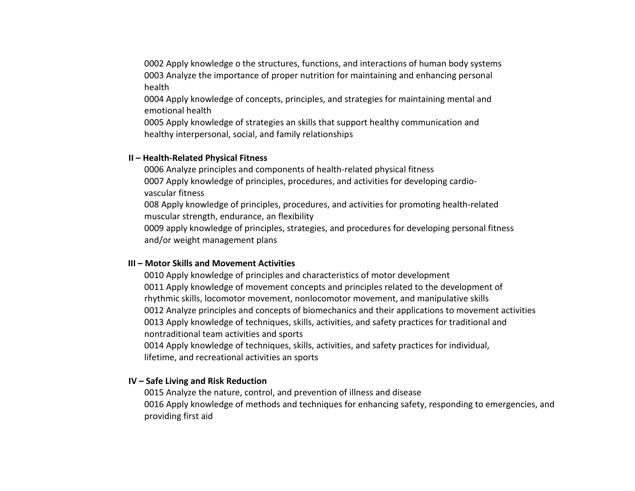0002 Apply knowledge o the structures, functions, and interactions of human body systems 0003 Analyze the importance of proper nutrition for maintaining and enhancing personal health

0004 Apply knowledge of concepts, principles, and strategies for maintaining mental and emotional health

0005 Apply knowledge of strategies an skills that support healthy communication and healthy interpersonal, social, and family relationships

#### **II – Health-Related Physical Fitness**

0006 Analyze principles and components of health-related physical fitness 0007 Apply knowledge of principles, procedures, and activities for developing cardiovascular fitness

008 Apply knowledge of principles, procedures, and activities for promoting health-related muscular strength, endurance, an flexibility

0009 apply knowledge of principles, strategies, and procedures for developing personal fitness and/or weight management plans

#### **III – Motor Skills and Movement Activities**

0010 Apply knowledge of principles and characteristics of motor development 0011 Apply knowledge of movement concepts and principles related to the development of rhythmic skills, locomotor movement, nonlocomotor movement, and manipulative skills 0012 Analyze principles and concepts of biomechanics and their applications to movement activities 0013 Apply knowledge of techniques, skills, activities, and safety practices for traditional and nontraditional team activities and sports

0014 Apply knowledge of techniques, skills, activities, and safety practices for individual, lifetime, and recreational activities an sports

### **IV – Safe Living and Risk Reduction**

0015 Analyze the nature, control, and prevention of illness and disease 0016 Apply knowledge of methods and techniques for enhancing safety, responding to emergencies, and providing first aid